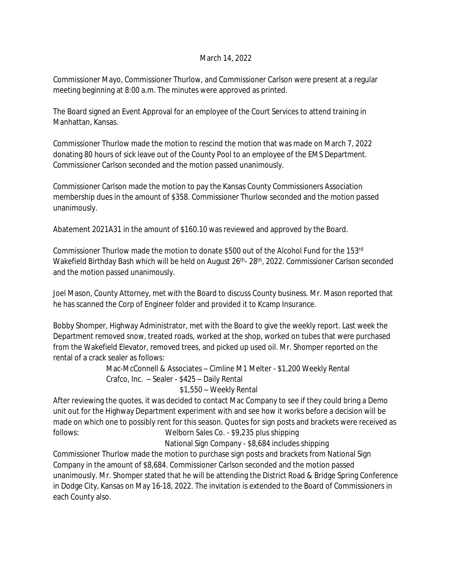## March 14, 2022

Commissioner Mayo, Commissioner Thurlow, and Commissioner Carlson were present at a regular meeting beginning at 8:00 a.m. The minutes were approved as printed.

The Board signed an Event Approval for an employee of the Court Services to attend training in Manhattan, Kansas.

Commissioner Thurlow made the motion to rescind the motion that was made on March 7, 2022 donating 80 hours of sick leave out of the County Pool to an employee of the EMS Department. Commissioner Carlson seconded and the motion passed unanimously.

Commissioner Carlson made the motion to pay the Kansas County Commissioners Association membership dues in the amount of \$358. Commissioner Thurlow seconded and the motion passed unanimously.

Abatement 2021A31 in the amount of \$160.10 was reviewed and approved by the Board.

Commissioner Thurlow made the motion to donate \$500 out of the Alcohol Fund for the 153rd Wakefield Birthday Bash which will be held on August 26<sup>th</sup>- 28<sup>th</sup>, 2022. Commissioner Carlson seconded and the motion passed unanimously.

Joel Mason, County Attorney, met with the Board to discuss County business. Mr. Mason reported that he has scanned the Corp of Engineer folder and provided it to Kcamp Insurance.

Bobby Shomper, Highway Administrator, met with the Board to give the weekly report. Last week the Department removed snow, treated roads, worked at the shop, worked on tubes that were purchased from the Wakefield Elevator, removed trees, and picked up used oil. Mr. Shomper reported on the rental of a crack sealer as follows:

> Mac-McConnell & Associates – Cimline M1 Melter - \$1,200 Weekly Rental Crafco, Inc. – Sealer - \$425 – Daily Rental

## \$1,550 – Weekly Rental

After reviewing the quotes, it was decided to contact Mac Company to see if they could bring a Demo unit out for the Highway Department experiment with and see how it works before a decision will be made on which one to possibly rent for this season. Quotes for sign posts and brackets were received as follows: Welborn Sales Co. - \$9,235 plus shipping

National Sign Company - \$8,684 includes shipping

Commissioner Thurlow made the motion to purchase sign posts and brackets from National Sign Company in the amount of \$8,684. Commissioner Carlson seconded and the motion passed unanimously. Mr. Shomper stated that he will be attending the District Road & Bridge Spring Conference in Dodge City, Kansas on May 16-18, 2022. The invitation is extended to the Board of Commissioners in each County also.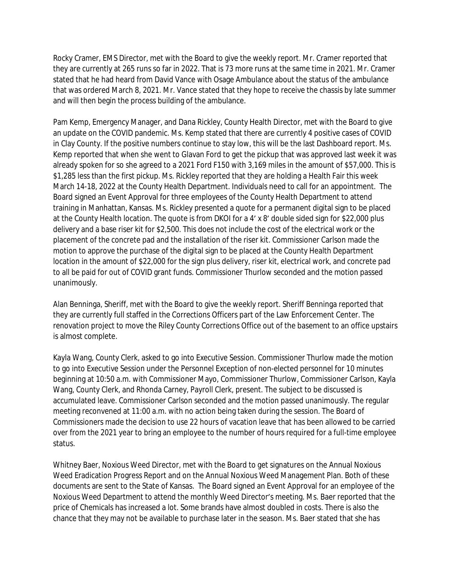Rocky Cramer, EMS Director, met with the Board to give the weekly report. Mr. Cramer reported that they are currently at 265 runs so far in 2022. That is 73 more runs at the same time in 2021. Mr. Cramer stated that he had heard from David Vance with Osage Ambulance about the status of the ambulance that was ordered March 8, 2021. Mr. Vance stated that they hope to receive the chassis by late summer and will then begin the process building of the ambulance.

Pam Kemp, Emergency Manager, and Dana Rickley, County Health Director, met with the Board to give an update on the COVID pandemic. Ms. Kemp stated that there are currently 4 positive cases of COVID in Clay County. If the positive numbers continue to stay low, this will be the last Dashboard report. Ms. Kemp reported that when she went to Glavan Ford to get the pickup that was approved last week it was already spoken for so she agreed to a 2021 Ford F150 with 3,169 miles in the amount of \$57,000. This is \$1,285 less than the first pickup. Ms. Rickley reported that they are holding a Health Fair this week March 14-18, 2022 at the County Health Department. Individuals need to call for an appointment. The Board signed an Event Approval for three employees of the County Health Department to attend training in Manhattan, Kansas. Ms. Rickley presented a quote for a permanent digital sign to be placed at the County Health location. The quote is from DKOI for a 4' x 8' double sided sign for \$22,000 plus delivery and a base riser kit for \$2,500. This does not include the cost of the electrical work or the placement of the concrete pad and the installation of the riser kit. Commissioner Carlson made the motion to approve the purchase of the digital sign to be placed at the County Health Department location in the amount of \$22,000 for the sign plus delivery, riser kit, electrical work, and concrete pad to all be paid for out of COVID grant funds. Commissioner Thurlow seconded and the motion passed unanimously.

Alan Benninga, Sheriff, met with the Board to give the weekly report. Sheriff Benninga reported that they are currently full staffed in the Corrections Officers part of the Law Enforcement Center. The renovation project to move the Riley County Corrections Office out of the basement to an office upstairs is almost complete.

Kayla Wang, County Clerk, asked to go into Executive Session. Commissioner Thurlow made the motion to go into Executive Session under the Personnel Exception of non-elected personnel for 10 minutes beginning at 10:50 a.m. with Commissioner Mayo, Commissioner Thurlow, Commissioner Carlson, Kayla Wang, County Clerk, and Rhonda Carney, Payroll Clerk, present. The subject to be discussed is accumulated leave. Commissioner Carlson seconded and the motion passed unanimously. The regular meeting reconvened at 11:00 a.m. with no action being taken during the session. The Board of Commissioners made the decision to use 22 hours of vacation leave that has been allowed to be carried over from the 2021 year to bring an employee to the number of hours required for a full-time employee status.

Whitney Baer, Noxious Weed Director, met with the Board to get signatures on the Annual Noxious Weed Eradication Progress Report and on the Annual Noxious Weed Management Plan. Both of these documents are sent to the State of Kansas. The Board signed an Event Approval for an employee of the Noxious Weed Department to attend the monthly Weed Director's meeting. Ms. Baer reported that the price of Chemicals has increased a lot. Some brands have almost doubled in costs. There is also the chance that they may not be available to purchase later in the season. Ms. Baer stated that she has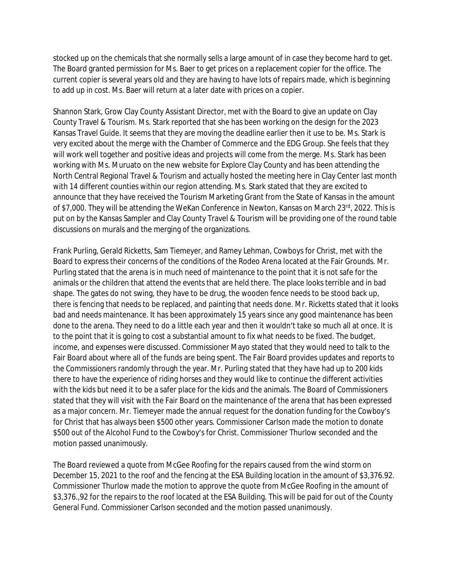stocked up on the chemicals that she normally sells a large amount of in case they become hard to get. The Board granted permission for Ms. Baer to get prices on a replacement copier for the office. The current copier is several years old and they are having to have lots of repairs made, which is beginning to add up in cost. Ms. Baer will return at a later date with prices on a copier.

Shannon Stark, Grow Clay County Assistant Director, met with the Board to give an update on Clay County Travel & Tourism. Ms. Stark reported that she has been working on the design for the 2023 Kansas Travel Guide. It seems that they are moving the deadline earlier then it use to be. Ms. Stark is very excited about the merge with the Chamber of Commerce and the EDG Group. She feels that they will work well together and positive ideas and projects will come from the merge. Ms. Stark has been working with Ms. Muruato on the new website for Explore Clay County and has been attending the North Central Regional Travel & Tourism and actually hosted the meeting here in Clay Center last month with 14 different counties within our region attending. Ms. Stark stated that they are excited to announce that they have received the Tourism Marketing Grant from the State of Kansas in the amount of \$7,000. They will be attending the WeKan Conference in Newton, Kansas on March 23rd, 2022. This is put on by the Kansas Sampler and Clay County Travel & Tourism will be providing one of the round table discussions on murals and the merging of the organizations.

Frank Purling, Gerald Ricketts, Sam Tiemeyer, and Ramey Lehman, Cowboys for Christ, met with the Board to express their concerns of the conditions of the Rodeo Arena located at the Fair Grounds. Mr. Purling stated that the arena is in much need of maintenance to the point that it is not safe for the animals or the children that attend the events that are held there. The place looks terrible and in bad shape. The gates do not swing, they have to be drug, the wooden fence needs to be stood back up, there is fencing that needs to be replaced, and painting that needs done. Mr. Ricketts stated that it looks bad and needs maintenance. It has been approximately 15 years since any good maintenance has been done to the arena. They need to do a little each year and then it wouldn't take so much all at once. It is to the point that it is going to cost a substantial amount to fix what needs to be fixed. The budget, income, and expenses were discussed. Commissioner Mayo stated that they would need to talk to the Fair Board about where all of the funds are being spent. The Fair Board provides updates and reports to the Commissioners randomly through the year. Mr. Purling stated that they have had up to 200 kids there to have the experience of riding horses and they would like to continue the different activities with the kids but need it to be a safer place for the kids and the animals. The Board of Commissioners stated that they will visit with the Fair Board on the maintenance of the arena that has been expressed as a major concern. Mr. Tiemeyer made the annual request for the donation funding for the Cowboy's for Christ that has always been \$500 other years. Commissioner Carlson made the motion to donate \$500 out of the Alcohol Fund to the Cowboy's for Christ. Commissioner Thurlow seconded and the motion passed unanimously.

The Board reviewed a quote from McGee Roofing for the repairs caused from the wind storm on December 15, 2021 to the roof and the fencing at the ESA Building location in the amount of \$3,376.92. Commissioner Thurlow made the motion to approve the quote from McGee Roofing in the amount of \$3,376.,92 for the repairs to the roof located at the ESA Building. This will be paid for out of the County General Fund. Commissioner Carlson seconded and the motion passed unanimously.